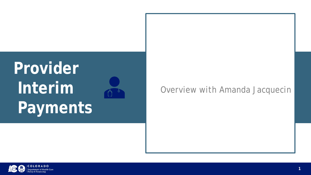### *Overview with Amanda Jacquecin*

## **Provider Interim Payments**





OLORADO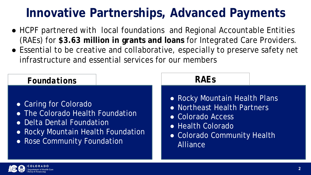- HCPF partnered with local foundations and Regional Accountable Entities (RAEs) for **\$3.63 million in grants and loans** for Integrated Care Providers.
- Essential to be creative and collaborative, especially to preserve safety net infrastructure and essential services for our members

- 
- 
- Colorado Access
- Health Colorado
	- Alliance



● Rocky Mountain Health Plans ● Northeast Health Partners ● Colorado Community Health

### *Foundations*

- Caring for Colorado
- **The Colorado Health Foundation**
- Delta Dental Foundation
- Rocky Mountain Health Foundation
- Rose Community Foundation

### **Innovative Partnerships, Advanced Payments**

### *RAEs*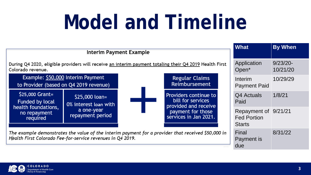# **Model and Timeline**

Interim Payment Example

During Q4 2020, eligible providers will receive an interim payment totaling their Q4 2019 Health F Colorado revenue.



The example demonstrates the value of the interim payment for a provider that received \$50,000 Health First Colorado Fee-for-service revenues in Q4 2019.



|      | <b>What</b>                                                 | <b>By When</b>          |
|------|-------------------------------------------------------------|-------------------------|
| irst | <b>Application</b><br>Open*                                 | $9/23/20 -$<br>10/21/20 |
|      | Interim<br><b>Payment Paid</b>                              | 10/29/29                |
|      | Q4 Actuals<br>Paid                                          | 1/8/21                  |
|      | Repayment of 9/21/21<br><b>Fed Portion</b><br><b>Starts</b> |                         |
| ) in | Final<br><b>Payment is</b><br>due                           | 8/31/22                 |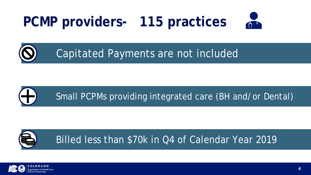### **PCMP providers- 115 practices**

### Capitated Payments are not included





Billed less than \$70k in Q4 of Calendar Year 2019







**4**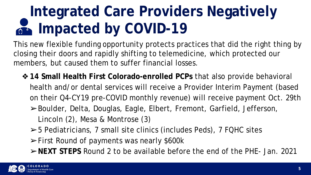## **Integrated Care Providers Negatively Impacted by COVID-19**

This new flexible funding opportunity protects practices that did the right thing by closing their doors and rapidly shifting to telemedicine, which protected our members, but caused them to suffer financial losses.

❖**14 Small Health First Colorado-enrolled PCPs** that also provide behavioral health and/or dental services will receive a Provider Interim Payment (based on their Q4-CY19 pre-COVID monthly revenue) will receive payment Oct. 29th ➢Boulder, Delta, Douglas, Eagle, Elbert, Fremont, Garfield, Jefferson,

Lincoln (2), Mesa & Montrose (3)

➢5 Pediatricians, 7 small site clinics (includes Peds), 7 FQHC sites

- ➢First Round of payments was nearly \$600k
- ➢**NEXT STEPS** Round 2 to be available before the end of the PHE- Jan. 2021

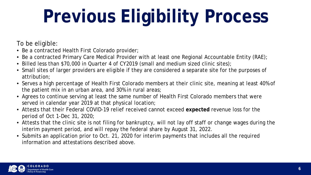# **Previous Eligibility Process**

To be eligible:

- Be a contracted Health First Colorado provider;
- Be a contracted Primary Care Medical Provider with at least one Regional Accountable Entity (RAE);
- Billed less than \$70,000 in Quarter 4 of CY2019 (small and medium sized clinic sites);
- Small sites of larger providers are eligible if they are considered a separate site for the purposes of attribution;
- Serves a high percentage of Health First Colorado members at their clinic site, meaning at least 40% of the patient mix in an urban area, and 30% in rural areas;
- Agrees to continue serving at least the same number of Health First Colorado members that were served in calendar year 2019 at that physical location;
- Attests that their Federal COVID-19 relief received cannot exceed **expected** revenue loss for the period of Oct 1-Dec 31, 2020;
- Attests that the clinic site is not filing for bankruptcy, will not lay off staff or change wages during the interim payment period, and will repay the federal share by August 31, 2022.
- Submits an application prior to Oct. 21, 2020 for interim payments that includes all the required information and attestations described above.